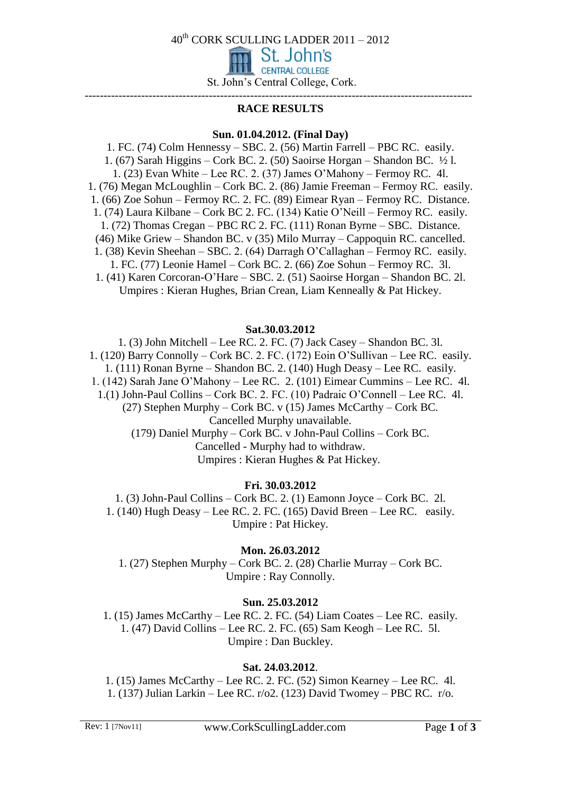40th CORK SCULLING LADDER 2011 – 2012

St. John's **CENTRAL COLLEGE** 

St. John's Central College, Cork.

#### ------------------------------------------------------------------------------------------------------- **RACE RESULTS**

## **Sun. 01.04.2012. (Final Day)**

1. FC. (74) Colm Hennessy – SBC. 2. (56) Martin Farrell – PBC RC. easily. 1. (67) Sarah Higgins – Cork BC. 2. (50) Saoirse Horgan – Shandon BC. ½ l. 1. (23) Evan White – Lee RC. 2. (37) James O'Mahony – Fermoy RC. 4l. 1. (76) Megan McLoughlin – Cork BC. 2. (86) Jamie Freeman – Fermoy RC. easily. 1. (66) Zoe Sohun – Fermoy RC. 2. FC. (89) Eimear Ryan – Fermoy RC. Distance. 1. (74) Laura Kilbane – Cork BC 2. FC. (134) Katie O'Neill – Fermoy RC. easily. 1. (72) Thomas Cregan – PBC RC 2. FC. (111) Ronan Byrne – SBC. Distance. (46) Mike Griew – Shandon BC. v (35) Milo Murray – Cappoquin RC. cancelled. 1. (38) Kevin Sheehan – SBC. 2. (64) Darragh O'Callaghan – Fermoy RC. easily. 1. FC. (77) Leonie Hamel – Cork BC. 2. (66) Zoe Sohun – Fermoy RC. 3l. 1. (41) Karen Corcoran-O'Hare – SBC. 2. (51) Saoirse Horgan – Shandon BC. 2l. Umpires : Kieran Hughes, Brian Crean, Liam Kenneally & Pat Hickey.

#### **Sat.30.03.2012**

1. (3) John Mitchell – Lee RC. 2. FC. (7) Jack Casey – Shandon BC. 3l. 1. (120) Barry Connolly – Cork BC. 2. FC. (172) Eoin O'Sullivan – Lee RC. easily. 1. (111) Ronan Byrne – Shandon BC. 2. (140) Hugh Deasy – Lee RC. easily. 1. (142) Sarah Jane O'Mahony – Lee RC. 2. (101) Eimear Cummins – Lee RC. 4l. 1.(1) John-Paul Collins – Cork BC. 2. FC. (10) Padraic O'Connell – Lee RC. 4l. (27) Stephen Murphy – Cork BC. v (15) James McCarthy – Cork BC. Cancelled Murphy unavailable. (179) Daniel Murphy – Cork BC. v John-Paul Collins – Cork BC. Cancelled - Murphy had to withdraw. Umpires : Kieran Hughes & Pat Hickey.

## **Fri. 30.03.2012**

1. (3) John-Paul Collins – Cork BC. 2. (1) Eamonn Joyce – Cork BC. 2l. 1. (140) Hugh Deasy – Lee RC. 2. FC. (165) David Breen – Lee RC. easily. Umpire : Pat Hickey.

**Mon. 26.03.2012**

1. (27) Stephen Murphy – Cork BC. 2. (28) Charlie Murray – Cork BC. Umpire : Ray Connolly.

## **Sun. 25.03.2012**

1. (15) James McCarthy – Lee RC. 2. FC. (54) Liam Coates – Lee RC. easily. 1. (47) David Collins – Lee RC. 2. FC. (65) Sam Keogh – Lee RC. 5l. Umpire : Dan Buckley.

# **Sat. 24.03.2012**.

1. (15) James McCarthy – Lee RC. 2. FC. (52) Simon Kearney – Lee RC. 4l. 1. (137) Julian Larkin – Lee RC. r/o2. (123) David Twomey – PBC RC. r/o.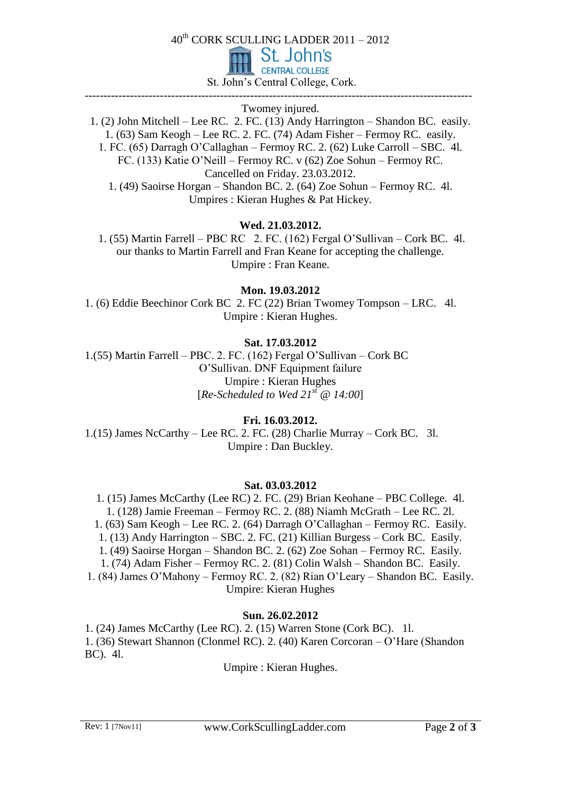40th CORK SCULLING LADDER 2011 – 2012



St. John's Central College, Cork.

------------------------------------------------------------------------------------------------------- Twomey injured.

1. (2) John Mitchell – Lee RC. 2. FC. (13) Andy Harrington – Shandon BC. easily. 1. (63) Sam Keogh – Lee RC. 2. FC. (74) Adam Fisher – Fermoy RC. easily. 1. FC. (65) Darragh O'Callaghan – Fermoy RC. 2. (62) Luke Carroll – SBC. 4l. FC. (133) Katie O'Neill – Fermoy RC. v (62) Zoe Sohun – Fermoy RC. Cancelled on Friday. 23.03.2012. 1. (49) Saoirse Horgan – Shandon BC. 2. (64) Zoe Sohun – Fermoy RC. 4l. Umpires : Kieran Hughes & Pat Hickey.

# **Wed. 21.03.2012.**

1. (55) Martin Farrell – PBC RC 2. FC. (162) Fergal O'Sullivan – Cork BC. 4l. our thanks to Martin Farrell and Fran Keane for accepting the challenge. Umpire : Fran Keane.

**Mon. 19.03.2012**

1. (6) Eddie Beechinor Cork BC 2. FC (22) Brian Twomey Tompson – LRC. 4l. Umpire : Kieran Hughes.

# **Sat. 17.03.2012**

1.(55) Martin Farrell – PBC. 2. FC. (162) Fergal O'Sullivan – Cork BC O'Sullivan. DNF Equipment failure Umpire : Kieran Hughes [*Re-Scheduled to Wed 21st @ 14:00*]

## **Fri. 16.03.2012.**

1.(15) James NcCarthy – Lee RC. 2. FC. (28) Charlie Murray – Cork BC. 3l. Umpire : Dan Buckley.

## **Sat. 03.03.2012**

1. (15) James McCarthy (Lee RC) 2. FC. (29) Brian Keohane – PBC College. 4l. 1. (128) Jamie Freeman – Fermoy RC. 2. (88) Niamh McGrath – Lee RC. 2l. 1. (63) Sam Keogh – Lee RC. 2. (64) Darragh O'Callaghan – Fermoy RC. Easily. 1. (13) Andy Harrington – SBC. 2. FC. (21) Killian Burgess – Cork BC. Easily. 1. (49) Saoirse Horgan – Shandon BC. 2. (62) Zoe Sohan – Fermoy RC. Easily. 1. (74) Adam Fisher – Fermoy RC. 2. (81) Colin Walsh – Shandon BC. Easily. 1. (84) James O'Mahony – Fermoy RC. 2. (82) Rian O'Leary – Shandon BC. Easily. Umpire: Kieran Hughes

## **Sun. 26.02.2012**

1. (24) James McCarthy (Lee RC). 2. (15) Warren Stone (Cork BC). 1l. 1. (36) Stewart Shannon (Clonmel RC). 2. (40) Karen Corcoran – O'Hare (Shandon BC). 4l.

Umpire : Kieran Hughes.